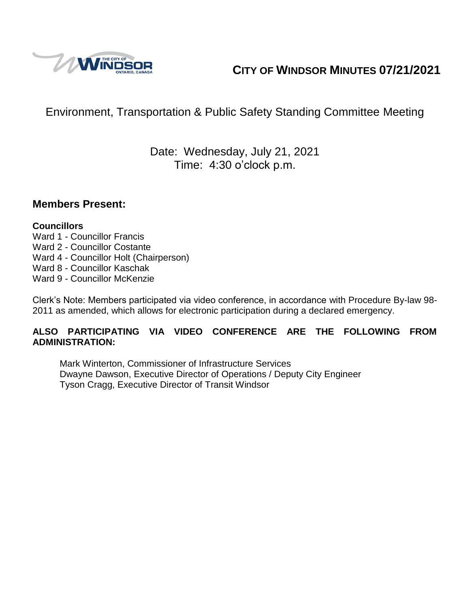

# **CITY OF WINDSOR MINUTES 07/21/2021**

# Environment, Transportation & Public Safety Standing Committee Meeting

## Date: Wednesday, July 21, 2021 Time: 4:30 o'clock p.m.

#### **Members Present:**

#### **Councillors**

- Ward 1 Councillor Francis
- Ward 2 Councillor Costante
- Ward 4 Councillor Holt (Chairperson)
- Ward 8 Councillor Kaschak
- Ward 9 Councillor McKenzie

Clerk's Note: Members participated via video conference, in accordance with Procedure By-law 98- 2011 as amended, which allows for electronic participation during a declared emergency.

#### **ALSO PARTICIPATING VIA VIDEO CONFERENCE ARE THE FOLLOWING FROM ADMINISTRATION:**

Mark Winterton, Commissioner of Infrastructure Services Dwayne Dawson, Executive Director of Operations / Deputy City Engineer Tyson Cragg, Executive Director of Transit Windsor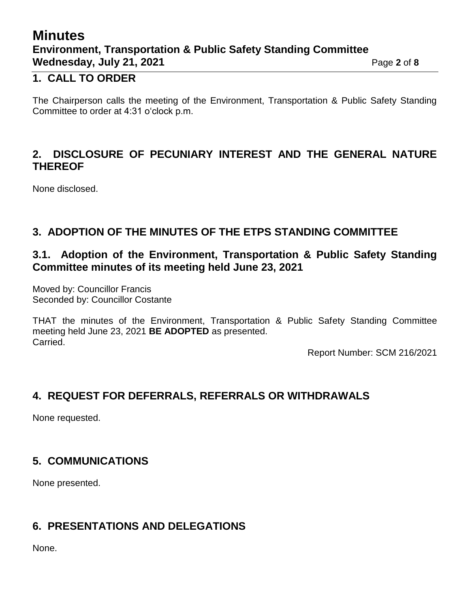# **Minutes Environment, Transportation & Public Safety Standing Committee Wednesday, July 21, 2021 Page 2** of 8

#### **1. CALL TO ORDER**

The Chairperson calls the meeting of the Environment, Transportation & Public Safety Standing Committee to order at 4:31 o'clock p.m.

#### **2. DISCLOSURE OF PECUNIARY INTEREST AND THE GENERAL NATURE THEREOF**

None disclosed.

## **3. ADOPTION OF THE MINUTES OF THE ETPS STANDING COMMITTEE**

#### **3.1. Adoption of the Environment, Transportation & Public Safety Standing Committee minutes of its meeting held June 23, 2021**

Moved by: Councillor Francis Seconded by: Councillor Costante

THAT the minutes of the Environment, Transportation & Public Safety Standing Committee meeting held June 23, 2021 **BE ADOPTED** as presented. Carried.

Report Number: SCM 216/2021

## **4. REQUEST FOR DEFERRALS, REFERRALS OR WITHDRAWALS**

None requested.

## **5. COMMUNICATIONS**

None presented.

#### **6. PRESENTATIONS AND DELEGATIONS**

None.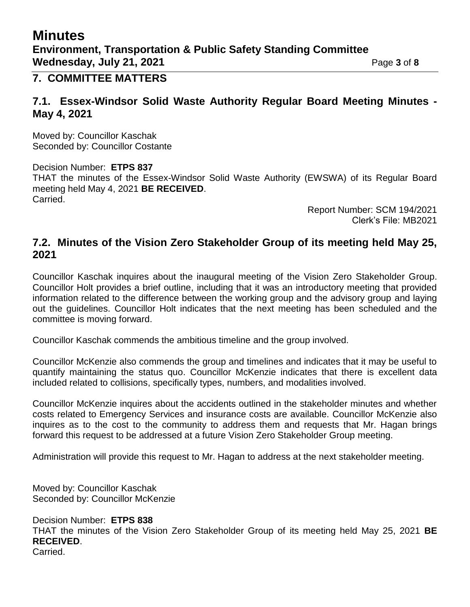## **Minutes Environment, Transportation & Public Safety Standing Committee Wednesday, July 21, 2021 Page 3 of 8**

#### **7. COMMITTEE MATTERS**

#### **7.1. Essex-Windsor Solid Waste Authority Regular Board Meeting Minutes - May 4, 2021**

Moved by: Councillor Kaschak Seconded by: Councillor Costante

Decision Number: **ETPS 837** THAT the minutes of the Essex-Windsor Solid Waste Authority (EWSWA) of its Regular Board meeting held May 4, 2021 **BE RECEIVED**. Carried.

> Report Number: SCM 194/2021 Clerk's File: MB2021

#### **7.2. Minutes of the Vision Zero Stakeholder Group of its meeting held May 25, 2021**

Councillor Kaschak inquires about the inaugural meeting of the Vision Zero Stakeholder Group. Councillor Holt provides a brief outline, including that it was an introductory meeting that provided information related to the difference between the working group and the advisory group and laying out the guidelines. Councillor Holt indicates that the next meeting has been scheduled and the committee is moving forward.

Councillor Kaschak commends the ambitious timeline and the group involved.

Councillor McKenzie also commends the group and timelines and indicates that it may be useful to quantify maintaining the status quo. Councillor McKenzie indicates that there is excellent data included related to collisions, specifically types, numbers, and modalities involved.

Councillor McKenzie inquires about the accidents outlined in the stakeholder minutes and whether costs related to Emergency Services and insurance costs are available. Councillor McKenzie also inquires as to the cost to the community to address them and requests that Mr. Hagan brings forward this request to be addressed at a future Vision Zero Stakeholder Group meeting.

Administration will provide this request to Mr. Hagan to address at the next stakeholder meeting.

Moved by: Councillor Kaschak Seconded by: Councillor McKenzie

Decision Number: **ETPS 838** THAT the minutes of the Vision Zero Stakeholder Group of its meeting held May 25, 2021 **BE RECEIVED**. Carried.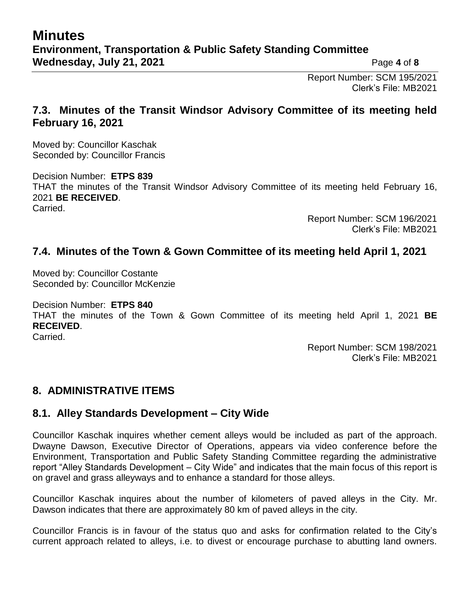Report Number: SCM 195/2021 Clerk's File: MB2021

#### **7.3. Minutes of the Transit Windsor Advisory Committee of its meeting held February 16, 2021**

Moved by: Councillor Kaschak Seconded by: Councillor Francis

Decision Number: **ETPS 839** THAT the minutes of the Transit Windsor Advisory Committee of its meeting held February 16, 2021 **BE RECEIVED**. Carried.

Report Number: SCM 196/2021 Clerk's File: MB2021

#### **7.4. Minutes of the Town & Gown Committee of its meeting held April 1, 2021**

Moved by: Councillor Costante Seconded by: Councillor McKenzie

Decision Number: **ETPS 840** THAT the minutes of the Town & Gown Committee of its meeting held April 1, 2021 **BE RECEIVED**. Carried.

> Report Number: SCM 198/2021 Clerk's File: MB2021

#### **8. ADMINISTRATIVE ITEMS**

#### **8.1. Alley Standards Development – City Wide**

Councillor Kaschak inquires whether cement alleys would be included as part of the approach. Dwayne Dawson, Executive Director of Operations, appears via video conference before the Environment, Transportation and Public Safety Standing Committee regarding the administrative report "Alley Standards Development – City Wide" and indicates that the main focus of this report is on gravel and grass alleyways and to enhance a standard for those alleys.

Councillor Kaschak inquires about the number of kilometers of paved alleys in the City. Mr. Dawson indicates that there are approximately 80 km of paved alleys in the city.

Councillor Francis is in favour of the status quo and asks for confirmation related to the City's current approach related to alleys, i.e. to divest or encourage purchase to abutting land owners.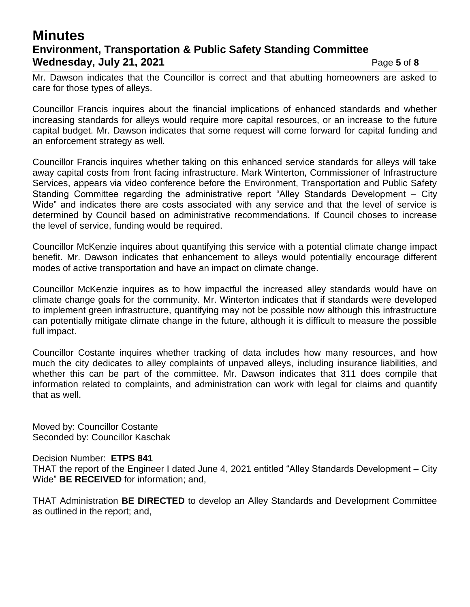## **Minutes Environment, Transportation & Public Safety Standing Committee Wednesday, July 21, 2021 Page 5** of 8

Mr. Dawson indicates that the Councillor is correct and that abutting homeowners are asked to care for those types of alleys.

Councillor Francis inquires about the financial implications of enhanced standards and whether increasing standards for alleys would require more capital resources, or an increase to the future capital budget. Mr. Dawson indicates that some request will come forward for capital funding and an enforcement strategy as well.

Councillor Francis inquires whether taking on this enhanced service standards for alleys will take away capital costs from front facing infrastructure. Mark Winterton, Commissioner of Infrastructure Services, appears via video conference before the Environment, Transportation and Public Safety Standing Committee regarding the administrative report "Alley Standards Development – City Wide" and indicates there are costs associated with any service and that the level of service is determined by Council based on administrative recommendations. If Council choses to increase the level of service, funding would be required.

Councillor McKenzie inquires about quantifying this service with a potential climate change impact benefit. Mr. Dawson indicates that enhancement to alleys would potentially encourage different modes of active transportation and have an impact on climate change.

Councillor McKenzie inquires as to how impactful the increased alley standards would have on climate change goals for the community. Mr. Winterton indicates that if standards were developed to implement green infrastructure, quantifying may not be possible now although this infrastructure can potentially mitigate climate change in the future, although it is difficult to measure the possible full impact.

Councillor Costante inquires whether tracking of data includes how many resources, and how much the city dedicates to alley complaints of unpaved alleys, including insurance liabilities, and whether this can be part of the committee. Mr. Dawson indicates that 311 does compile that information related to complaints, and administration can work with legal for claims and quantify that as well.

Moved by: Councillor Costante Seconded by: Councillor Kaschak

#### Decision Number: **ETPS 841**

THAT the report of the Engineer I dated June 4, 2021 entitled "Alley Standards Development – City Wide" **BE RECEIVED** for information; and,

THAT Administration **BE DIRECTED** to develop an Alley Standards and Development Committee as outlined in the report; and,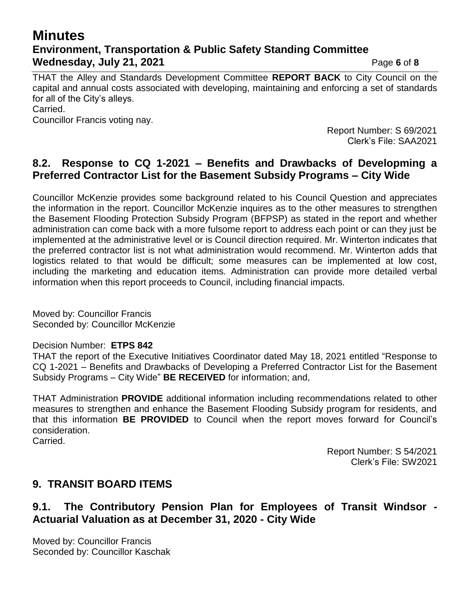## **Minutes Environment, Transportation & Public Safety Standing Committee Wednesday, July 21, 2021 Page 6** of 8

THAT the Alley and Standards Development Committee **REPORT BACK** to City Council on the capital and annual costs associated with developing, maintaining and enforcing a set of standards for all of the City's alleys. Carried.

Councillor Francis voting nay.

Report Number: S 69/2021 Clerk's File: SAA2021

#### **8.2. Response to CQ 1-2021 – Benefits and Drawbacks of Developming a Preferred Contractor List for the Basement Subsidy Programs – City Wide**

Councillor McKenzie provides some background related to his Council Question and appreciates the information in the report. Councillor McKenzie inquires as to the other measures to strengthen the Basement Flooding Protection Subsidy Program (BFPSP) as stated in the report and whether administration can come back with a more fulsome report to address each point or can they just be implemented at the administrative level or is Council direction required. Mr. Winterton indicates that the preferred contractor list is not what administration would recommend. Mr. Winterton adds that logistics related to that would be difficult; some measures can be implemented at low cost, including the marketing and education items. Administration can provide more detailed verbal information when this report proceeds to Council, including financial impacts.

Moved by: Councillor Francis Seconded by: Councillor McKenzie

#### Decision Number: **ETPS 842**

THAT the report of the Executive Initiatives Coordinator dated May 18, 2021 entitled "Response to CQ 1-2021 – Benefits and Drawbacks of Developing a Preferred Contractor List for the Basement Subsidy Programs – City Wide" **BE RECEIVED** for information; and,

THAT Administration **PROVIDE** additional information including recommendations related to other measures to strengthen and enhance the Basement Flooding Subsidy program for residents, and that this information **BE PROVIDED** to Council when the report moves forward for Council's consideration. Carried.

> Report Number: S 54/2021 Clerk's File: SW2021

#### **9. TRANSIT BOARD ITEMS**

#### **9.1. The Contributory Pension Plan for Employees of Transit Windsor - Actuarial Valuation as at December 31, 2020 - City Wide**

Moved by: Councillor Francis Seconded by: Councillor Kaschak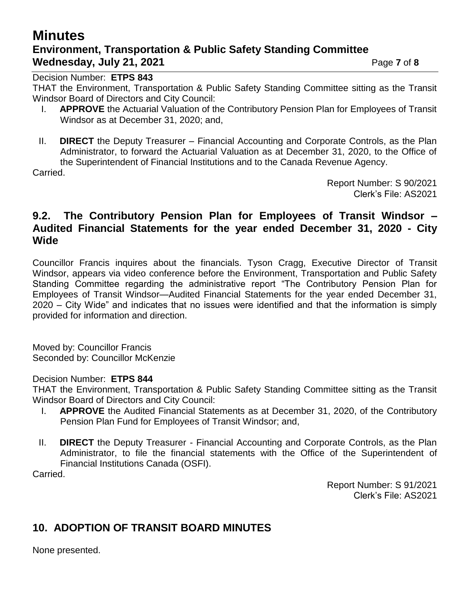# **Minutes Environment, Transportation & Public Safety Standing Committee Wednesday, July 21, 2021 Page 7** of 8

Decision Number: **ETPS 843**

THAT the Environment, Transportation & Public Safety Standing Committee sitting as the Transit Windsor Board of Directors and City Council:

- I. **APPROVE** the Actuarial Valuation of the Contributory Pension Plan for Employees of Transit Windsor as at December 31, 2020; and,
- II. **DIRECT** the Deputy Treasurer Financial Accounting and Corporate Controls, as the Plan Administrator, to forward the Actuarial Valuation as at December 31, 2020, to the Office of the Superintendent of Financial Institutions and to the Canada Revenue Agency.

Carried.

Report Number: S 90/2021 Clerk's File: AS2021

#### **9.2. The Contributory Pension Plan for Employees of Transit Windsor – Audited Financial Statements for the year ended December 31, 2020 - City Wide**

Councillor Francis inquires about the financials. Tyson Cragg, Executive Director of Transit Windsor, appears via video conference before the Environment, Transportation and Public Safety Standing Committee regarding the administrative report "The Contributory Pension Plan for Employees of Transit Windsor—Audited Financial Statements for the year ended December 31, 2020 – City Wide" and indicates that no issues were identified and that the information is simply provided for information and direction.

Moved by: Councillor Francis Seconded by: Councillor McKenzie

#### Decision Number: **ETPS 844**

THAT the Environment, Transportation & Public Safety Standing Committee sitting as the Transit Windsor Board of Directors and City Council:

- I. **APPROVE** the Audited Financial Statements as at December 31, 2020, of the Contributory Pension Plan Fund for Employees of Transit Windsor; and,
- II. **DIRECT** the Deputy Treasurer Financial Accounting and Corporate Controls, as the Plan Administrator, to file the financial statements with the Office of the Superintendent of Financial Institutions Canada (OSFI).

Carried.

Report Number: S 91/2021 Clerk's File: AS2021

## **10. ADOPTION OF TRANSIT BOARD MINUTES**

None presented.